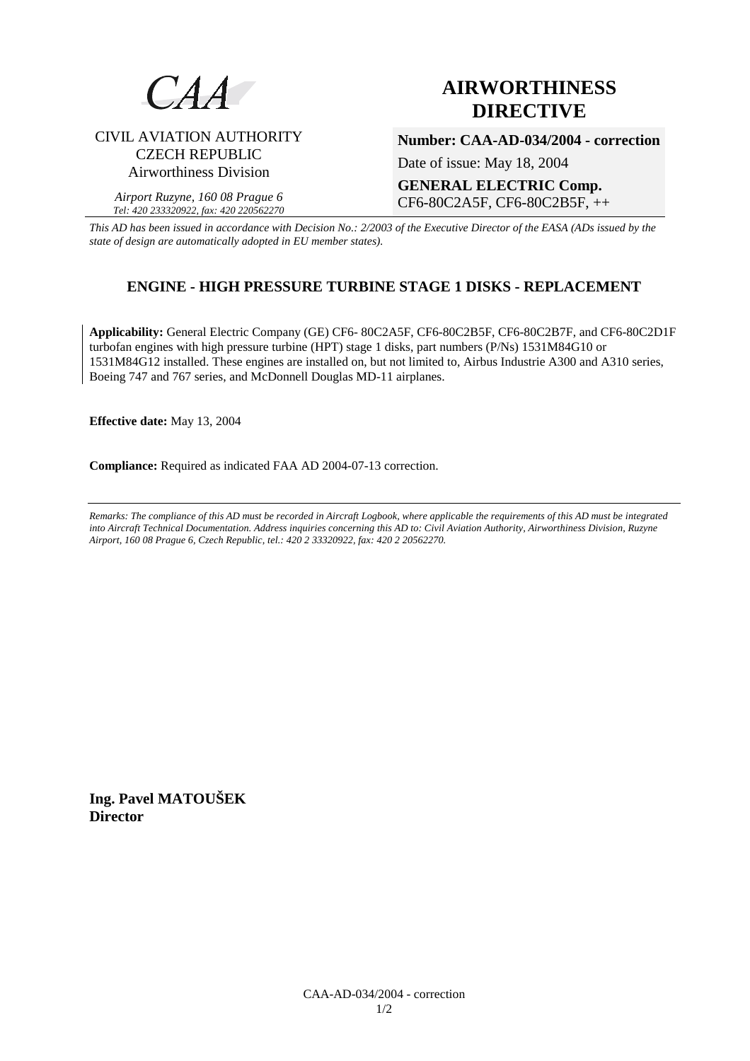

# CIVIL AVIATION AUTHORITY CZECH REPUBLIC Airworthiness Division

*Airport Ruzyne, 160 08 Prague 6 Tel: 420 233320922, fax: 420 220562270*

# **AIRWORTHINESS DIRECTIVE**

**Number: CAA-AD-034/2004 - correction** 

Date of issue: May 18, 2004

**GENERAL ELECTRIC Comp.**  CF6-80C2A5F, CF6-80C2B5F, ++

*This AD has been issued in accordance with Decision No.: 2/2003 of the Executive Director of the EASA (ADs issued by the state of design are automatically adopted in EU member states).*

# **ENGINE - HIGH PRESSURE TURBINE STAGE 1 DISKS - REPLACEMENT**

**Applicability:** General Electric Company (GE) CF6- 80C2A5F, CF6-80C2B5F, CF6-80C2B7F, and CF6-80C2D1F turbofan engines with high pressure turbine (HPT) stage 1 disks, part numbers (P/Ns) 1531M84G10 or 1531M84G12 installed. These engines are installed on, but not limited to, Airbus Industrie A300 and A310 series, Boeing 747 and 767 series, and McDonnell Douglas MD-11 airplanes.

**Effective date:** May 13, 2004

**Compliance:** Required as indicated FAA AD 2004-07-13 correction.

*Remarks: The compliance of this AD must be recorded in Aircraft Logbook, where applicable the requirements of this AD must be integrated into Aircraft Technical Documentation. Address inquiries concerning this AD to: Civil Aviation Authority, Airworthiness Division, Ruzyne Airport, 160 08 Prague 6, Czech Republic, tel.: 420 2 33320922, fax: 420 2 20562270.* 

**Ing. Pavel MATOUŠEK Director**